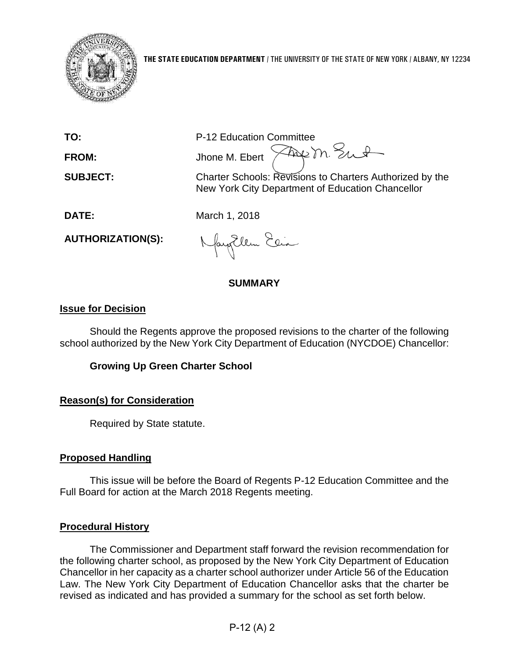

**TO:** P-12 Education Committee FROM: Jhone M. Ebert  $\sqrt{2\pi}$  m. Sunt

**SUBJECT:** Charter Schools: Revisions to Charters Authorized by the New York City Department of Education Chancellor

**DATE:** March 1, 2018

**AUTHORIZATION(S):**

NayEllen Elia

# **SUMMARY**

# **Issue for Decision**

Should the Regents approve the proposed revisions to the charter of the following school authorized by the New York City Department of Education (NYCDOE) Chancellor:

# **Growing Up Green Charter School**

# **Reason(s) for Consideration**

Required by State statute.

# **Proposed Handling**

This issue will be before the Board of Regents P-12 Education Committee and the Full Board for action at the March 2018 Regents meeting.

# **Procedural History**

The Commissioner and Department staff forward the revision recommendation for the following charter school, as proposed by the New York City Department of Education Chancellor in her capacity as a charter school authorizer under Article 56 of the Education Law. The New York City Department of Education Chancellor asks that the charter be revised as indicated and has provided a summary for the school as set forth below.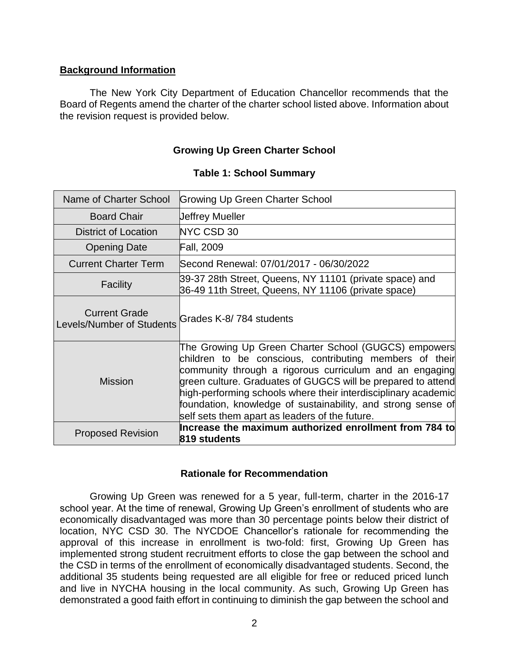### **Background Information**

The New York City Department of Education Chancellor recommends that the Board of Regents amend the charter of the charter school listed above. Information about the revision request is provided below.

### **Growing Up Green Charter School**

| Name of Charter School                            | <b>Growing Up Green Charter School</b>                                                                                                                                                                                                                                                                                                                                                                                         |
|---------------------------------------------------|--------------------------------------------------------------------------------------------------------------------------------------------------------------------------------------------------------------------------------------------------------------------------------------------------------------------------------------------------------------------------------------------------------------------------------|
| <b>Board Chair</b>                                | <b>Jeffrey Mueller</b>                                                                                                                                                                                                                                                                                                                                                                                                         |
| <b>District of Location</b>                       | NYC CSD 30                                                                                                                                                                                                                                                                                                                                                                                                                     |
| <b>Opening Date</b>                               | <b>Fall, 2009</b>                                                                                                                                                                                                                                                                                                                                                                                                              |
| <b>Current Charter Term</b>                       | Second Renewal: 07/01/2017 - 06/30/2022                                                                                                                                                                                                                                                                                                                                                                                        |
| <b>Facility</b>                                   | 39-37 28th Street, Queens, NY 11101 (private space) and<br>36-49 11th Street, Queens, NY 11106 (private space)                                                                                                                                                                                                                                                                                                                 |
| <b>Current Grade</b><br>Levels/Number of Students | Grades K-8/784 students                                                                                                                                                                                                                                                                                                                                                                                                        |
| <b>Mission</b>                                    | The Growing Up Green Charter School (GUGCS) empowers<br>children to be conscious, contributing members of their<br>community through a rigorous curriculum and an engaging<br>green culture. Graduates of GUGCS will be prepared to attend<br>high-performing schools where their interdisciplinary academic<br>foundation, knowledge of sustainability, and strong sense of<br>self sets them apart as leaders of the future. |
| <b>Proposed Revision</b>                          | Increase the maximum authorized enrollment from 784 to<br>819 students                                                                                                                                                                                                                                                                                                                                                         |

#### **Table 1: School Summary**

#### **Rationale for Recommendation**

Growing Up Green was renewed for a 5 year, full-term, charter in the 2016-17 school year. At the time of renewal, Growing Up Green's enrollment of students who are economically disadvantaged was more than 30 percentage points below their district of location, NYC CSD 30. The NYCDOE Chancellor's rationale for recommending the approval of this increase in enrollment is two-fold: first, Growing Up Green has implemented strong student recruitment efforts to close the gap between the school and the CSD in terms of the enrollment of economically disadvantaged students. Second, the additional 35 students being requested are all eligible for free or reduced priced lunch and live in NYCHA housing in the local community. As such, Growing Up Green has demonstrated a good faith effort in continuing to diminish the gap between the school and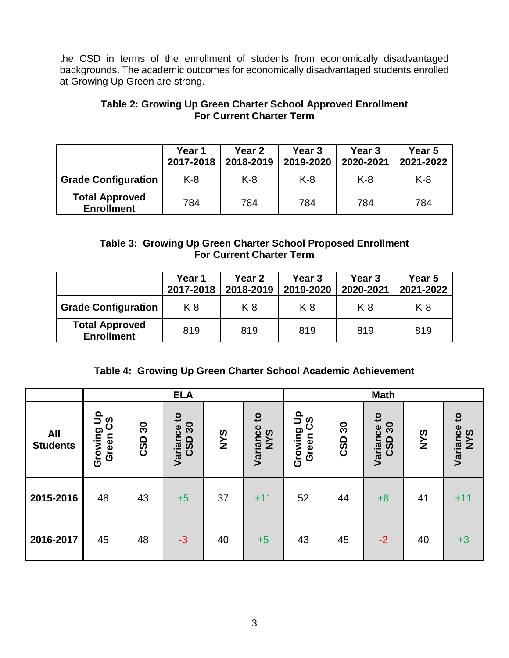the CSD in terms of the enrollment of students from economically disadvantaged backgrounds. The academic outcomes for economically disadvantaged students enrolled at Growing Up Green are strong.

### **Table 2: Growing Up Green Charter School Approved Enrollment For Current Charter Term**

|                                            | <b>Year 1</b><br>2017-2018 | Year 2<br>2018-2019 | Year 3<br>2019-2020 | Year <sub>3</sub><br>2020-2021 | Year 5<br>2021-2022 |
|--------------------------------------------|----------------------------|---------------------|---------------------|--------------------------------|---------------------|
| <b>Grade Configuration</b>                 | K-8                        | $K-8$               | $K-8$               | $K-8$                          | $K-8$               |
| <b>Total Approved</b><br><b>Enrollment</b> | 784                        | 784                 | 784                 | 784                            | 784                 |

# **Table 3: Growing Up Green Charter School Proposed Enrollment For Current Charter Term**

|                                            | Year 1<br>2017-2018 | Year 2<br>2018-2019 | Year 3<br>2019-2020 | Year 3<br>2020-2021 | Year 5<br>2021-2022 |
|--------------------------------------------|---------------------|---------------------|---------------------|---------------------|---------------------|
| <b>Grade Configuration</b>                 | $K-8$               | K-8                 | $K-8$               | $K-8$               | $K-8$               |
| <b>Total Approved</b><br><b>Enrollment</b> | 819                 | 819                 | 819                 | 819                 | 819                 |

# **Table 4: Growing Up Green Charter School Academic Achievement**

|                               | <b>ELA</b>                         |                          |                                       |            |                                        |                                   | <b>Math</b> |                                       |            |                                 |
|-------------------------------|------------------------------------|--------------------------|---------------------------------------|------------|----------------------------------------|-----------------------------------|-------------|---------------------------------------|------------|---------------------------------|
| <b>All</b><br><b>Students</b> | o<br>ပ္ပိ<br>っ<br>Growing<br>Green | $\boldsymbol{50}$<br>CSD | $\mathbf{c}$<br>30<br>Variance<br>CSD | <b>SAN</b> | $\mathbf{c}$<br>Variance<br><b>SAN</b> | $\frac{9}{5}$<br>Growing<br>Green | ႙<br>CSD    | $\mathbf{c}$<br>30<br>Variance<br>CSD | <b>SAN</b> | $\mathbf{c}$<br>Variance<br>NYS |
| 2015-2016                     | 48                                 | 43                       | $+5$                                  | 37         | $+11$                                  | 52                                | 44          | $+8$                                  | 41         | $+11$                           |
| 2016-2017                     | 45                                 | 48                       | $-3$                                  | 40         | $+5$                                   | 43                                | 45          | $-2$                                  | 40         | $+3$                            |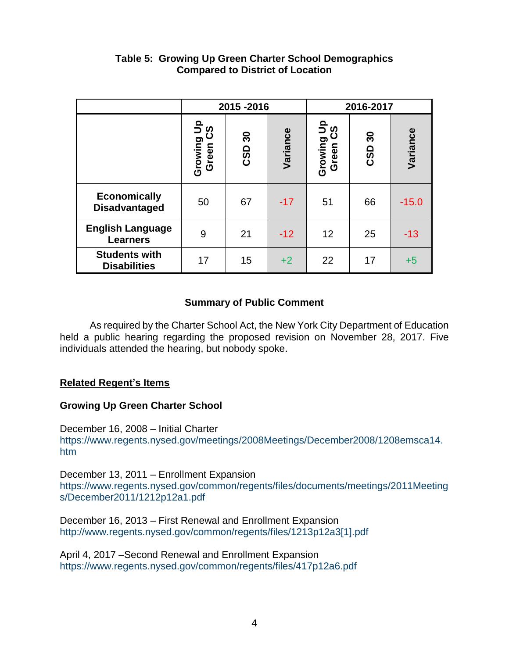|                                             |                        | 2015-2016 |          |                        | 2016-2017 |          |  |  |
|---------------------------------------------|------------------------|-----------|----------|------------------------|-----------|----------|--|--|
|                                             | Growing Up<br>Green CS | CSD 30    | Variance | Growing Up<br>Green CS | CSD 30    | Variance |  |  |
| <b>Economically</b><br><b>Disadvantaged</b> | 50                     | 67        | $-17$    | 51                     | 66        | $-15.0$  |  |  |
| <b>English Language</b><br><b>Learners</b>  | 9                      | 21        | $-12$    | 12                     | 25        | $-13$    |  |  |
| <b>Students with</b><br><b>Disabilities</b> | 17                     | 15        | $+2$     | 22                     | 17        | $+5$     |  |  |

# **Table 5: Growing Up Green Charter School Demographics Compared to District of Location**

# **Summary of Public Comment**

As required by the Charter School Act, the New York City Department of Education held a public hearing regarding the proposed revision on November 28, 2017. Five individuals attended the hearing, but nobody spoke.

# **Related Regent's Items**

# **Growing Up Green Charter School**

December 16, 2008 – Initial Charter [https://www.regents.nysed.gov/meetings/2008Meetings/December2008/1208emsca14.](https://www.regents.nysed.gov/meetings/2008Meetings/December2008/1208emsca14.htm) [htm](https://www.regents.nysed.gov/meetings/2008Meetings/December2008/1208emsca14.htm)

December 13, 2011 – Enrollment Expansion [https://www.regents.nysed.gov/common/regents/files/documents/meetings/2011Meeting](https://www.regents.nysed.gov/common/regents/files/documents/meetings/2011Meetings/December2011/1212p12a1.pdf) [s/December2011/1212p12a1.pdf](https://www.regents.nysed.gov/common/regents/files/documents/meetings/2011Meetings/December2011/1212p12a1.pdf) 

December 16, 2013 – First Renewal and Enrollment Expansion [http://www.regents.nysed.gov/common/regents/files/1213p12a3\[1\].pdf](http://www.regents.nysed.gov/common/regents/files/1213p12a3%5b1%5d.pdf)

April 4, 2017 –Second Renewal and Enrollment Expansion <https://www.regents.nysed.gov/common/regents/files/417p12a6.pdf>